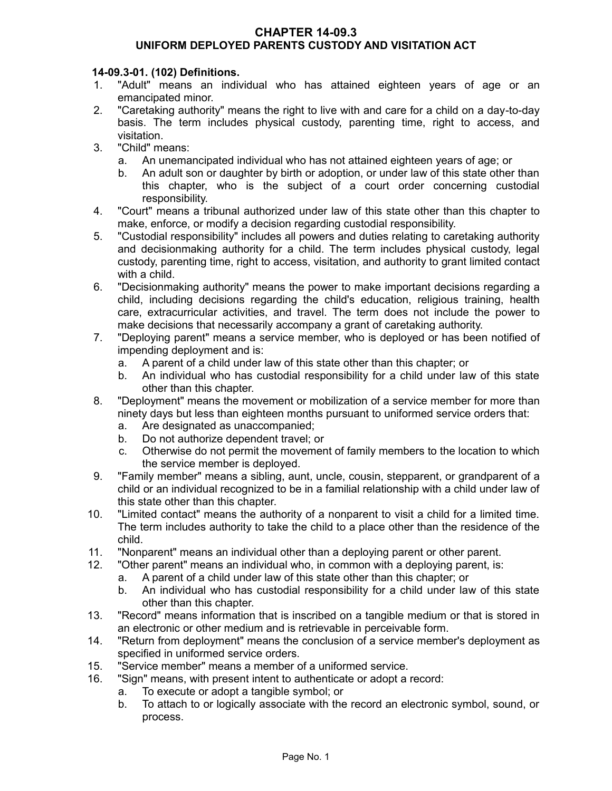## **CHAPTER 14-09.3 UNIFORM DEPLOYED PARENTS CUSTODY AND VISITATION ACT**

# **14-09.3-01. (102) Definitions.**

- 1. "Adult" means an individual who has attained eighteen years of age or an emancipated minor.
- 2. "Caretaking authority" means the right to live with and care for a child on a day-to-day basis. The term includes physical custody, parenting time, right to access, and visitation.
- 3. "Child" means:
	- a. An unemancipated individual who has not attained eighteen years of age; or
	- b. An adult son or daughter by birth or adoption, or under law of this state other than this chapter, who is the subject of a court order concerning custodial responsibility.
- 4. "Court" means a tribunal authorized under law of this state other than this chapter to make, enforce, or modify a decision regarding custodial responsibility.
- 5. "Custodial responsibility" includes all powers and duties relating to caretaking authority and decisionmaking authority for a child. The term includes physical custody, legal custody, parenting time, right to access, visitation, and authority to grant limited contact with a child.
- 6. "Decisionmaking authority" means the power to make important decisions regarding a child, including decisions regarding the child's education, religious training, health care, extracurricular activities, and travel. The term does not include the power to make decisions that necessarily accompany a grant of caretaking authority.
- 7. "Deploying parent" means a service member, who is deployed or has been notified of impending deployment and is:
	- a. A parent of a child under law of this state other than this chapter; or
	- b. An individual who has custodial responsibility for a child under law of this state other than this chapter.
- 8. "Deployment" means the movement or mobilization of a service member for more than ninety days but less than eighteen months pursuant to uniformed service orders that:
	- a. Are designated as unaccompanied;
	- b. Do not authorize dependent travel; or
	- c. Otherwise do not permit the movement of family members to the location to which the service member is deployed.
- 9. "Family member" means a sibling, aunt, uncle, cousin, stepparent, or grandparent of a child or an individual recognized to be in a familial relationship with a child under law of this state other than this chapter.
- 10. "Limited contact" means the authority of a nonparent to visit a child for a limited time. The term includes authority to take the child to a place other than the residence of the child.
- 11. "Nonparent" means an individual other than a deploying parent or other parent.
- 12. "Other parent" means an individual who, in common with a deploying parent, is:
	- a. A parent of a child under law of this state other than this chapter; or
	- b. An individual who has custodial responsibility for a child under law of this state other than this chapter.
- 13. "Record" means information that is inscribed on a tangible medium or that is stored in an electronic or other medium and is retrievable in perceivable form.
- 14. "Return from deployment" means the conclusion of a service member's deployment as specified in uniformed service orders.
- 15. "Service member" means a member of a uniformed service.
- 16. "Sign" means, with present intent to authenticate or adopt a record:
	- a. To execute or adopt a tangible symbol; or
	- b. To attach to or logically associate with the record an electronic symbol, sound, or process.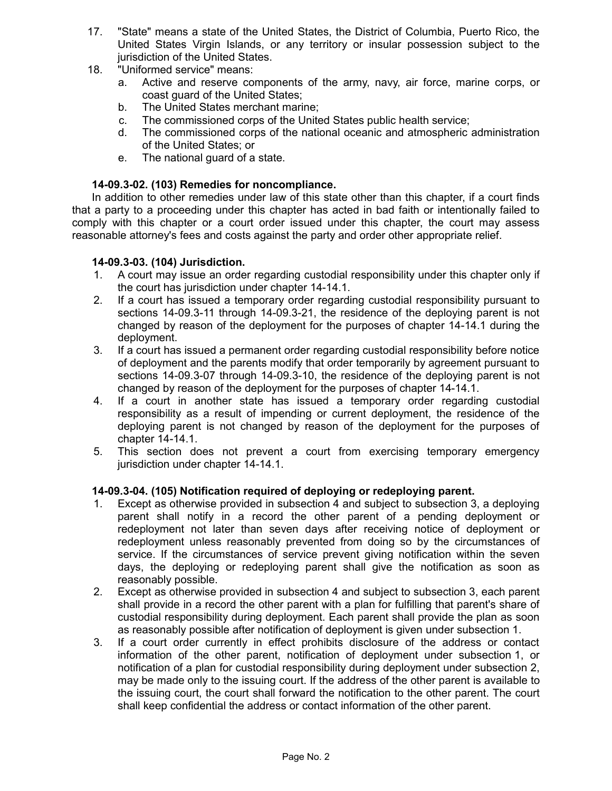- 17. "State" means a state of the United States, the District of Columbia, Puerto Rico, the United States Virgin Islands, or any territory or insular possession subject to the jurisdiction of the United States.
- 18. "Uniformed service" means:
	- a. Active and reserve components of the army, navy, air force, marine corps, or coast guard of the United States;
	- b. The United States merchant marine;
	- c. The commissioned corps of the United States public health service;
	- d. The commissioned corps of the national oceanic and atmospheric administration of the United States; or
	- e. The national guard of a state.

## **14-09.3-02. (103) Remedies for noncompliance.**

In addition to other remedies under law of this state other than this chapter, if a court finds that a party to a proceeding under this chapter has acted in bad faith or intentionally failed to comply with this chapter or a court order issued under this chapter, the court may assess reasonable attorney's fees and costs against the party and order other appropriate relief.

### **14-09.3-03. (104) Jurisdiction.**

- 1. A court may issue an order regarding custodial responsibility under this chapter only if the court has jurisdiction under chapter 14-14.1.
- 2. If a court has issued a temporary order regarding custodial responsibility pursuant to sections 14-09.3-11 through 14-09.3-21, the residence of the deploying parent is not changed by reason of the deployment for the purposes of chapter 14-14.1 during the deployment.
- 3. If a court has issued a permanent order regarding custodial responsibility before notice of deployment and the parents modify that order temporarily by agreement pursuant to sections 14-09.3-07 through 14-09.3-10, the residence of the deploying parent is not changed by reason of the deployment for the purposes of chapter 14-14.1.
- 4. If a court in another state has issued a temporary order regarding custodial responsibility as a result of impending or current deployment, the residence of the deploying parent is not changed by reason of the deployment for the purposes of chapter 14-14.1.
- 5. This section does not prevent a court from exercising temporary emergency jurisdiction under chapter 14-14.1.

### **14-09.3-04. (105) Notification required of deploying or redeploying parent.**

- 1. Except as otherwise provided in subsection 4 and subject to subsection 3, a deploying parent shall notify in a record the other parent of a pending deployment or redeployment not later than seven days after receiving notice of deployment or redeployment unless reasonably prevented from doing so by the circumstances of service. If the circumstances of service prevent giving notification within the seven days, the deploying or redeploying parent shall give the notification as soon as reasonably possible.
- 2. Except as otherwise provided in subsection 4 and subject to subsection 3, each parent shall provide in a record the other parent with a plan for fulfilling that parent's share of custodial responsibility during deployment. Each parent shall provide the plan as soon as reasonably possible after notification of deployment is given under subsection 1.
- 3. If a court order currently in effect prohibits disclosure of the address or contact information of the other parent, notification of deployment under subsection 1, or notification of a plan for custodial responsibility during deployment under subsection 2, may be made only to the issuing court. If the address of the other parent is available to the issuing court, the court shall forward the notification to the other parent. The court shall keep confidential the address or contact information of the other parent.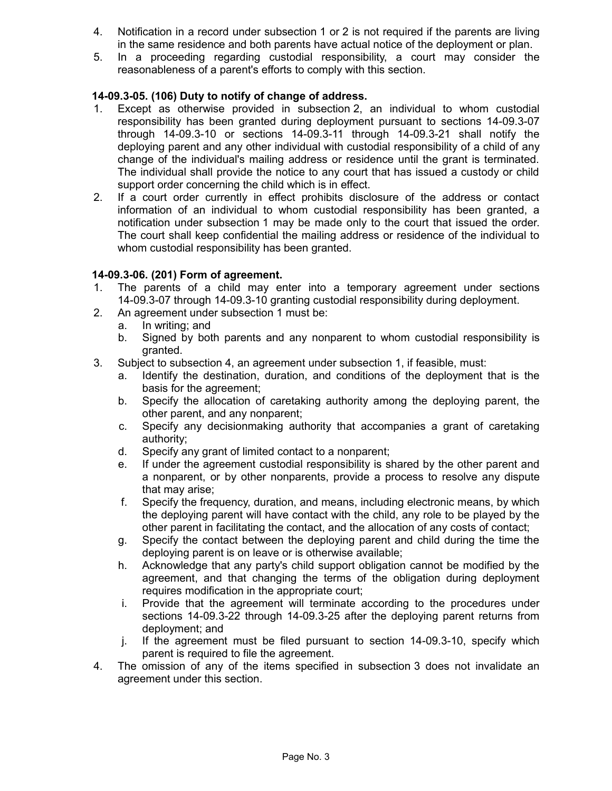- 4. Notification in a record under subsection 1 or 2 is not required if the parents are living in the same residence and both parents have actual notice of the deployment or plan.
- 5. In a proceeding regarding custodial responsibility, a court may consider the reasonableness of a parent's efforts to comply with this section.

# **14-09.3-05. (106) Duty to notify of change of address.**

- 1. Except as otherwise provided in subsection 2, an individual to whom custodial responsibility has been granted during deployment pursuant to sections 14-09.3-07 through 14-09.3-10 or sections 14-09.3-11 through 14-09.3-21 shall notify the deploying parent and any other individual with custodial responsibility of a child of any change of the individual's mailing address or residence until the grant is terminated. The individual shall provide the notice to any court that has issued a custody or child support order concerning the child which is in effect.
- 2. If a court order currently in effect prohibits disclosure of the address or contact information of an individual to whom custodial responsibility has been granted, a notification under subsection 1 may be made only to the court that issued the order. The court shall keep confidential the mailing address or residence of the individual to whom custodial responsibility has been granted.

# **14-09.3-06. (201) Form of agreement.**

- 1. The parents of a child may enter into a temporary agreement under sections 14-09.3-07 through 14-09.3-10 granting custodial responsibility during deployment.
- 2. An agreement under subsection 1 must be:
	- a. In writing; and
	- b. Signed by both parents and any nonparent to whom custodial responsibility is granted.
- 3. Subject to subsection 4, an agreement under subsection 1, if feasible, must:
	- a. Identify the destination, duration, and conditions of the deployment that is the basis for the agreement;
	- b. Specify the allocation of caretaking authority among the deploying parent, the other parent, and any nonparent;
	- c. Specify any decisionmaking authority that accompanies a grant of caretaking authority;
	- d. Specify any grant of limited contact to a nonparent;
	- e. If under the agreement custodial responsibility is shared by the other parent and a nonparent, or by other nonparents, provide a process to resolve any dispute that may arise;
	- f. Specify the frequency, duration, and means, including electronic means, by which the deploying parent will have contact with the child, any role to be played by the other parent in facilitating the contact, and the allocation of any costs of contact;
	- g. Specify the contact between the deploying parent and child during the time the deploying parent is on leave or is otherwise available;
	- h. Acknowledge that any party's child support obligation cannot be modified by the agreement, and that changing the terms of the obligation during deployment requires modification in the appropriate court;
	- i. Provide that the agreement will terminate according to the procedures under sections 14-09.3-22 through 14-09.3-25 after the deploying parent returns from deployment; and
	- j. If the agreement must be filed pursuant to section 14-09.3-10, specify which parent is required to file the agreement.
- 4. The omission of any of the items specified in subsection 3 does not invalidate an agreement under this section.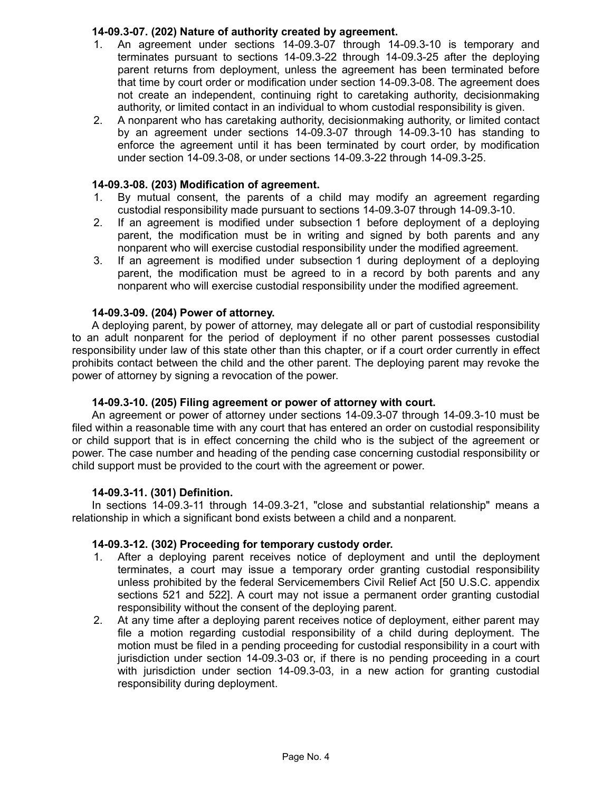# **14-09.3-07. (202) Nature of authority created by agreement.**

- 1. An agreement under sections 14-09.3-07 through 14-09.3-10 is temporary and terminates pursuant to sections 14-09.3-22 through 14-09.3-25 after the deploying parent returns from deployment, unless the agreement has been terminated before that time by court order or modification under section 14-09.3-08. The agreement does not create an independent, continuing right to caretaking authority, decisionmaking authority, or limited contact in an individual to whom custodial responsibility is given.
- 2. A nonparent who has caretaking authority, decisionmaking authority, or limited contact by an agreement under sections 14-09.3-07 through 14-09.3-10 has standing to enforce the agreement until it has been terminated by court order, by modification under section 14-09.3-08, or under sections 14-09.3-22 through 14-09.3-25.

## **14-09.3-08. (203) Modification of agreement.**

- 1. By mutual consent, the parents of a child may modify an agreement regarding custodial responsibility made pursuant to sections 14-09.3-07 through 14-09.3-10.
- 2. If an agreement is modified under subsection 1 before deployment of a deploying parent, the modification must be in writing and signed by both parents and any nonparent who will exercise custodial responsibility under the modified agreement.
- 3. If an agreement is modified under subsection 1 during deployment of a deploying parent, the modification must be agreed to in a record by both parents and any nonparent who will exercise custodial responsibility under the modified agreement.

## **14-09.3-09. (204) Power of attorney.**

A deploying parent, by power of attorney, may delegate all or part of custodial responsibility to an adult nonparent for the period of deployment if no other parent possesses custodial responsibility under law of this state other than this chapter, or if a court order currently in effect prohibits contact between the child and the other parent. The deploying parent may revoke the power of attorney by signing a revocation of the power.

### **14-09.3-10. (205) Filing agreement or power of attorney with court.**

An agreement or power of attorney under sections 14-09.3-07 through 14-09.3-10 must be filed within a reasonable time with any court that has entered an order on custodial responsibility or child support that is in effect concerning the child who is the subject of the agreement or power. The case number and heading of the pending case concerning custodial responsibility or child support must be provided to the court with the agreement or power.

### **14-09.3-11. (301) Definition.**

In sections 14-09.3-11 through 14-09.3-21, "close and substantial relationship" means a relationship in which a significant bond exists between a child and a nonparent.

### **14-09.3-12. (302) Proceeding for temporary custody order.**

- 1. After a deploying parent receives notice of deployment and until the deployment terminates, a court may issue a temporary order granting custodial responsibility unless prohibited by the federal Servicemembers Civil Relief Act [50 U.S.C. appendix sections 521 and 522]. A court may not issue a permanent order granting custodial responsibility without the consent of the deploying parent.
- 2. At any time after a deploying parent receives notice of deployment, either parent may file a motion regarding custodial responsibility of a child during deployment. The motion must be filed in a pending proceeding for custodial responsibility in a court with jurisdiction under section 14-09.3-03 or, if there is no pending proceeding in a court with jurisdiction under section 14-09.3-03, in a new action for granting custodial responsibility during deployment.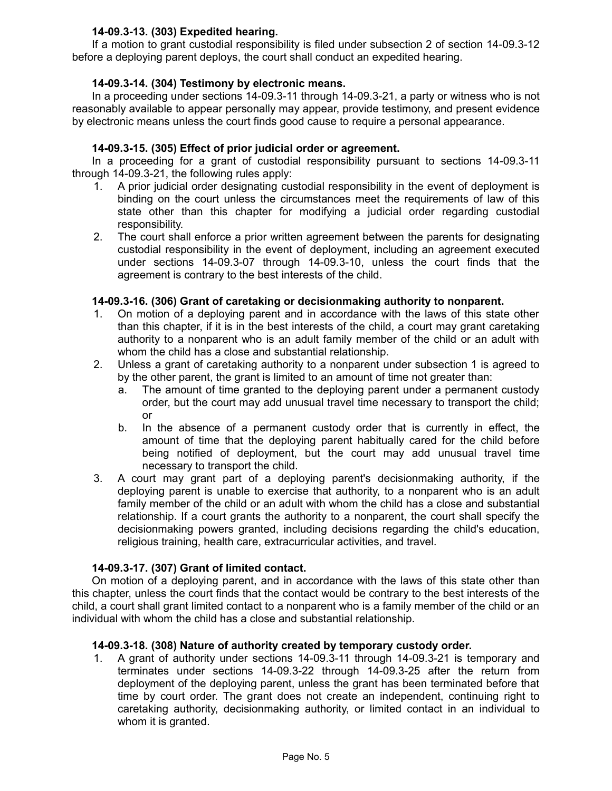# **14-09.3-13. (303) Expedited hearing.**

If a motion to grant custodial responsibility is filed under subsection 2 of section 14-09.3-12 before a deploying parent deploys, the court shall conduct an expedited hearing.

# **14-09.3-14. (304) Testimony by electronic means.**

In a proceeding under sections 14-09.3-11 through 14-09.3-21, a party or witness who is not reasonably available to appear personally may appear, provide testimony, and present evidence by electronic means unless the court finds good cause to require a personal appearance.

# **14-09.3-15. (305) Effect of prior judicial order or agreement.**

In a proceeding for a grant of custodial responsibility pursuant to sections 14-09.3-11 through 14-09.3-21, the following rules apply:

- 1. A prior judicial order designating custodial responsibility in the event of deployment is binding on the court unless the circumstances meet the requirements of law of this state other than this chapter for modifying a judicial order regarding custodial responsibility.
- 2. The court shall enforce a prior written agreement between the parents for designating custodial responsibility in the event of deployment, including an agreement executed under sections 14-09.3-07 through 14-09.3-10, unless the court finds that the agreement is contrary to the best interests of the child.

# **14-09.3-16. (306) Grant of caretaking or decisionmaking authority to nonparent.**

- 1. On motion of a deploying parent and in accordance with the laws of this state other than this chapter, if it is in the best interests of the child, a court may grant caretaking authority to a nonparent who is an adult family member of the child or an adult with whom the child has a close and substantial relationship.
- 2. Unless a grant of caretaking authority to a nonparent under subsection 1 is agreed to by the other parent, the grant is limited to an amount of time not greater than:
	- a. The amount of time granted to the deploying parent under a permanent custody order, but the court may add unusual travel time necessary to transport the child; or
	- b. In the absence of a permanent custody order that is currently in effect, the amount of time that the deploying parent habitually cared for the child before being notified of deployment, but the court may add unusual travel time necessary to transport the child.
- 3. A court may grant part of a deploying parent's decisionmaking authority, if the deploying parent is unable to exercise that authority, to a nonparent who is an adult family member of the child or an adult with whom the child has a close and substantial relationship. If a court grants the authority to a nonparent, the court shall specify the decisionmaking powers granted, including decisions regarding the child's education, religious training, health care, extracurricular activities, and travel.

# **14-09.3-17. (307) Grant of limited contact.**

On motion of a deploying parent, and in accordance with the laws of this state other than this chapter, unless the court finds that the contact would be contrary to the best interests of the child, a court shall grant limited contact to a nonparent who is a family member of the child or an individual with whom the child has a close and substantial relationship.

# **14-09.3-18. (308) Nature of authority created by temporary custody order.**

1. A grant of authority under sections 14-09.3-11 through 14-09.3-21 is temporary and terminates under sections 14-09.3-22 through 14-09.3-25 after the return from deployment of the deploying parent, unless the grant has been terminated before that time by court order. The grant does not create an independent, continuing right to caretaking authority, decisionmaking authority, or limited contact in an individual to whom it is granted.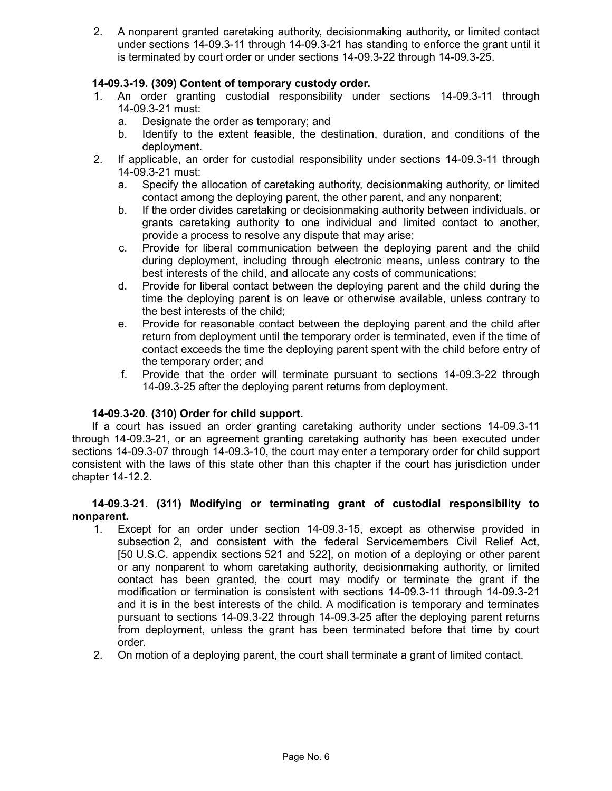2. A nonparent granted caretaking authority, decisionmaking authority, or limited contact under sections 14-09.3-11 through 14-09.3-21 has standing to enforce the grant until it is terminated by court order or under sections 14-09.3-22 through 14-09.3-25.

# **14-09.3-19. (309) Content of temporary custody order.**

- 1. An order granting custodial responsibility under sections 14-09.3-11 through 14-09.3-21 must:
	- a. Designate the order as temporary; and
	- b. Identify to the extent feasible, the destination, duration, and conditions of the deployment.
- 2. If applicable, an order for custodial responsibility under sections 14-09.3-11 through 14-09.3-21 must:
	- a. Specify the allocation of caretaking authority, decisionmaking authority, or limited contact among the deploying parent, the other parent, and any nonparent;
	- b. If the order divides caretaking or decisionmaking authority between individuals, or grants caretaking authority to one individual and limited contact to another, provide a process to resolve any dispute that may arise;
	- c. Provide for liberal communication between the deploying parent and the child during deployment, including through electronic means, unless contrary to the best interests of the child, and allocate any costs of communications;
	- d. Provide for liberal contact between the deploying parent and the child during the time the deploying parent is on leave or otherwise available, unless contrary to the best interests of the child;
	- e. Provide for reasonable contact between the deploying parent and the child after return from deployment until the temporary order is terminated, even if the time of contact exceeds the time the deploying parent spent with the child before entry of the temporary order; and
	- f. Provide that the order will terminate pursuant to sections 14-09.3-22 through 14-09.3-25 after the deploying parent returns from deployment.

# **14-09.3-20. (310) Order for child support.**

If a court has issued an order granting caretaking authority under sections 14-09.3-11 through 14-09.3-21, or an agreement granting caretaking authority has been executed under sections 14-09.3-07 through 14-09.3-10, the court may enter a temporary order for child support consistent with the laws of this state other than this chapter if the court has jurisdiction under chapter 14-12.2.

## **14-09.3-21. (311) Modifying or terminating grant of custodial responsibility to nonparent.**

- 1. Except for an order under section 14-09.3-15, except as otherwise provided in subsection 2, and consistent with the federal Servicemembers Civil Relief Act, [50 U.S.C. appendix sections 521 and 522], on motion of a deploying or other parent or any nonparent to whom caretaking authority, decisionmaking authority, or limited contact has been granted, the court may modify or terminate the grant if the modification or termination is consistent with sections 14-09.3-11 through 14-09.3-21 and it is in the best interests of the child. A modification is temporary and terminates pursuant to sections 14-09.3-22 through 14-09.3-25 after the deploying parent returns from deployment, unless the grant has been terminated before that time by court order.
- 2. On motion of a deploying parent, the court shall terminate a grant of limited contact.